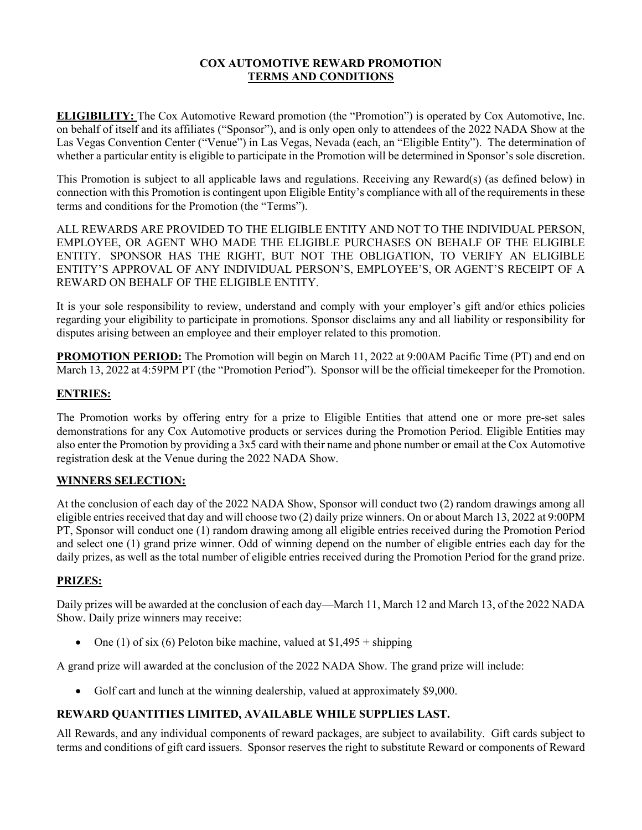## **COX AUTOMOTIVE REWARD PROMOTION TERMS AND CONDITIONS**

**ELIGIBILITY:** The Cox Automotive Reward promotion (the "Promotion") is operated by Cox Automotive, Inc. on behalf of itself and its affiliates ("Sponsor"), and is only open only to attendees of the 2022 NADA Show at the Las Vegas Convention Center ("Venue") in Las Vegas, Nevada (each, an "Eligible Entity"). The determination of whether a particular entity is eligible to participate in the Promotion will be determined in Sponsor's sole discretion.

This Promotion is subject to all applicable laws and regulations. Receiving any Reward(s) (as defined below) in connection with this Promotion is contingent upon Eligible Entity's compliance with all of the requirements in these terms and conditions for the Promotion (the "Terms").

ALL REWARDS ARE PROVIDED TO THE ELIGIBLE ENTITY AND NOT TO THE INDIVIDUAL PERSON, EMPLOYEE, OR AGENT WHO MADE THE ELIGIBLE PURCHASES ON BEHALF OF THE ELIGIBLE ENTITY. SPONSOR HAS THE RIGHT, BUT NOT THE OBLIGATION, TO VERIFY AN ELIGIBLE ENTITY'S APPROVAL OF ANY INDIVIDUAL PERSON'S, EMPLOYEE'S, OR AGENT'S RECEIPT OF A REWARD ON BEHALF OF THE ELIGIBLE ENTITY.

It is your sole responsibility to review, understand and comply with your employer's gift and/or ethics policies regarding your eligibility to participate in promotions. Sponsor disclaims any and all liability or responsibility for disputes arising between an employee and their employer related to this promotion.

**PROMOTION PERIOD:** The Promotion will begin on March 11, 2022 at 9:00AM Pacific Time (PT) and end on March 13, 2022 at 4:59PM PT (the "Promotion Period"). Sponsor will be the official timekeeper for the Promotion.

### **ENTRIES:**

The Promotion works by offering entry for a prize to Eligible Entities that attend one or more pre-set sales demonstrations for any Cox Automotive products or services during the Promotion Period. Eligible Entities may also enter the Promotion by providing a 3x5 card with their name and phone number or email at the Cox Automotive registration desk at the Venue during the 2022 NADA Show.

#### **WINNERS SELECTION:**

At the conclusion of each day of the 2022 NADA Show, Sponsor will conduct two (2) random drawings among all eligible entries received that day and will choose two (2) daily prize winners. On or about March 13, 2022 at 9:00PM PT, Sponsor will conduct one (1) random drawing among all eligible entries received during the Promotion Period and select one (1) grand prize winner. Odd of winning depend on the number of eligible entries each day for the daily prizes, as well as the total number of eligible entries received during the Promotion Period for the grand prize.

#### **PRIZES:**

Daily prizes will be awarded at the conclusion of each day—March 11, March 12 and March 13, of the 2022 NADA Show. Daily prize winners may receive:

One (1) of six (6) Peloton bike machine, valued at  $$1,495 + shipping$ 

A grand prize will awarded at the conclusion of the 2022 NADA Show. The grand prize will include:

• Golf cart and lunch at the winning dealership, valued at approximately \$9,000.

# **REWARD QUANTITIES LIMITED, AVAILABLE WHILE SUPPLIES LAST.**

All Rewards, and any individual components of reward packages, are subject to availability. Gift cards subject to terms and conditions of gift card issuers. Sponsor reserves the right to substitute Reward or components of Reward